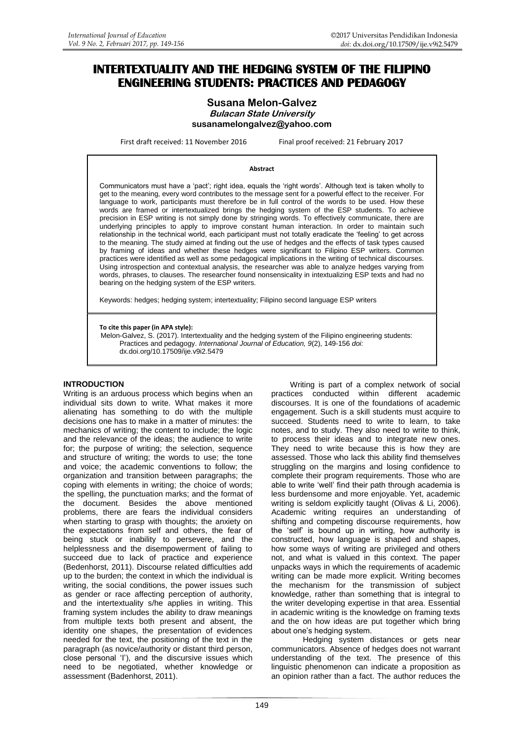# **INTERTEXTUALITY AND THE HEDGING SYSTEM OF THE FILIPINO ENGINEERING STUDENTS: PRACTICES AND PEDAGOGY**

### **Susana Melon-Galvez Bulacan State University susanamelongalvez@yahoo.com**

First draft received: 11 November 2016 Final proof received: 21 February 2017

#### **Abstract**

Communicators must have a "pact"; right idea, equals the "right words". Although text is taken wholly to get to the meaning, every word contributes to the message sent for a powerful effect to the receiver. For language to work, participants must therefore be in full control of the words to be used. How these words are framed or intertextualized brings the hedging system of the ESP students. To achieve precision in ESP writing is not simply done by stringing words. To effectively communicate, there are underlying principles to apply to improve constant human interaction. In order to maintain such relationship in the technical world, each participant must not totally eradicate the "feeling" to get across to the meaning. The study aimed at finding out the use of hedges and the effects of task types caused by framing of ideas and whether these hedges were significant to Filipino ESP writers. Common practices were identified as well as some pedagogical implications in the writing of technical discourses. Using introspection and contextual analysis, the researcher was able to analyze hedges varying from words, phrases, to clauses. The researcher found nonsensicality in intextualizing ESP texts and had no bearing on the hedging system of the ESP writers.

Keywords: hedges; hedging system; intertextuality; Filipino second language ESP writers

**To cite this paper (in APA style):**

Melon-Galvez, S. (2017). Intertextuality and the hedging system of the Filipino engineering students: Practices and pedagogy. *International Journal of Education, 9*(2), 149-156 *doi:*  [dx.doi.org/10.17509/ije.v9i2.5479](http://dx.doi.org/10.17509/ije.v9i2.5479)

#### **INTRODUCTION**

Writing is an arduous process which begins when an individual sits down to write. What makes it more alienating has something to do with the multiple decisions one has to make in a matter of minutes: the mechanics of writing; the content to include; the logic and the relevance of the ideas; the audience to write for; the purpose of writing; the selection, sequence and structure of writing; the words to use; the tone and voice; the academic conventions to follow; the organization and transition between paragraphs; the coping with elements in writing; the choice of words; the spelling, the punctuation marks; and the format of the document. Besides the above mentioned problems, there are fears the individual considers when starting to grasp with thoughts; the anxiety on the expectations from self and others, the fear of being stuck or inability to persevere, and the helplessness and the disempowerment of failing to succeed due to lack of practice and experience (Bedenhorst, 2011). Discourse related difficulties add up to the burden; the context in which the individual is writing, the social conditions, the power issues such as gender or race affecting perception of authority, and the intertextuality s/he applies in writing. This framing system includes the ability to draw meanings from multiple texts both present and absent, the identity one shapes, the presentation of evidences needed for the text, the positioning of the text in the paragraph (as novice/authority or distant third person, close personal 'I'), and the discursive issues which need to be negotiated, whether knowledge or assessment (Badenhorst, 2011).

Writing is part of a complex network of social practices conducted within different academic discourses. It is one of the foundations of academic engagement. Such is a skill students must acquire to succeed. Students need to write to learn, to take notes, and to study. They also need to write to think, to process their ideas and to integrate new ones. They need to write because this is how they are assessed. Those who lack this ability find themselves struggling on the margins and losing confidence to complete their program requirements. Those who are able to write "well" find their path through academia is less burdensome and more enjoyable. Yet, academic writing is seldom explicitly taught (Olivas & Li, 2006). Academic writing requires an understanding of shifting and competing discourse requirements, how the "self" is bound up in writing, how authority is constructed, how language is shaped and shapes, how some ways of writing are privileged and others not, and what is valued in this context. The paper unpacks ways in which the requirements of academic writing can be made more explicit. Writing becomes the mechanism for the transmission of subject knowledge, rather than something that is integral to the writer developing expertise in that area. Essential in academic writing is the knowledge on framing texts and the on how ideas are put together which bring about one"s hedging system.

Hedging system distances or gets near communicators. Absence of hedges does not warrant understanding of the text. The presence of this linguistic phenomenon can indicate a proposition as an opinion rather than a fact. The author reduces the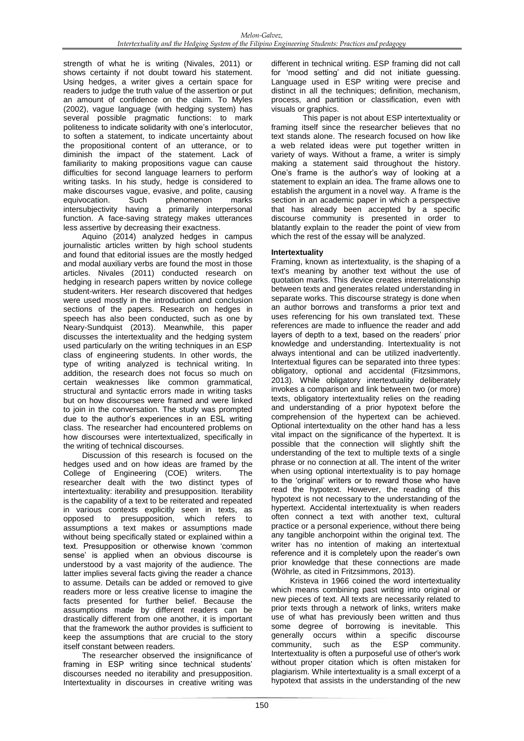strength of what he is writing (Nivales, 2011) or shows certainty if not doubt toward his statement. Using hedges, a writer gives a certain space for readers to judge the truth value of the assertion or put an amount of confidence on the claim. To Myles (2002), vague language (with hedging system) has several possible pragmatic functions: to mark politeness to indicate solidarity with one"s interlocutor, to soften a statement, to indicate uncertainty about the propositional content of an utterance, or to diminish the impact of the statement. Lack of familiarity to making propositions vague can cause difficulties for second language learners to perform writing tasks. In his study, hedge is considered to make discourses vague, evasive, and polite, causing<br>equivocation. Such bhenomenon marks equivocation. Such phenomenon marks intersubjectivity having a primarily interpersonal function. A face-saving strategy makes utterances less assertive by decreasing their exactness.

Aquino (2014) analyzed hedges in campus journalistic articles written by high school students and found that editorial issues are the mostly hedged and modal auxiliary verbs are found the most in those articles. Nivales (2011) conducted research on hedging in research papers written by novice college student-writers. Her research discovered that hedges were used mostly in the introduction and conclusion sections of the papers. Research on hedges in speech has also been conducted, such as one by Neary-Sundquist (2013). Meanwhile, this paper discusses the intertextuality and the hedging system used particularly on the writing techniques in an ESP class of engineering students. In other words, the type of writing analyzed is technical writing. In addition, the research does not focus so much on certain weaknesses like common grammatical, structural and syntactic errors made in writing tasks but on how discourses were framed and were linked to join in the conversation. The study was prompted due to the author"s experiences in an ESL writing class. The researcher had encountered problems on how discourses were intertextualized, specifically in the writing of technical discourses.

Discussion of this research is focused on the hedges used and on how ideas are framed by the College of Engineering (COE) writers. The researcher dealt with the two distinct types of intertextuality: iterability and presupposition. Iterability is the capability of a text to be reiterated and repeated in various contexts explicitly seen in texts, as opposed to presupposition, which refers to assumptions a text makes or assumptions made without being specifically stated or explained within a text. Presupposition or otherwise known "common sense' is applied when an obvious discourse is understood by a vast majority of the audience. The latter implies several facts giving the reader a chance to assume. Details can be added or removed to give readers more or less creative license to imagine the facts presented for further belief. Because the assumptions made by different readers can be drastically different from one another, it is important that the framework the author provides is sufficient to keep the assumptions that are crucial to the story itself constant between readers.

The researcher observed the insignificance of framing in ESP writing since technical students' discourses needed no iterability and presupposition. Intertextuality in discourses in creative writing was

different in technical writing. ESP framing did not call for "mood setting" and did not initiate guessing. Language used in ESP writing were precise and distinct in all the techniques; definition, mechanism, process, and partition or classification, even with visuals or graphics.

This paper is not about ESP intertextuality or framing itself since the researcher believes that no text stands alone. The research focused on how like a web related ideas were put together written in variety of ways. Without a frame, a writer is simply making a statement said throughout the history. One"s frame is the author"s way of looking at a statement to explain an idea. The frame allows one to establish the argument in a novel way. A frame is the section in an academic paper in which a perspective that has already been accepted by a specific discourse community is presented in order to blatantly explain to the reader the point of view from which the rest of the essay will be analyzed.

# **Intertextuality**

Framing, known as intertextuality, is the shaping of a text's meaning by another text without the use of quotation marks. This device creates interrelationship between texts and generates related understanding in separate works. This discourse strategy is done when an author borrows and transforms a prior text and uses referencing for his own translated text. These references are made to influence the reader and add layers of depth to a text, based on the readers' prior knowledge and understanding. Intertextuality is not always intentional and can be utilized inadvertently. Intertextual figures can be separated into three types: obligatory, optional and accidental (Fitzsimmons, 2013). While obligatory intertextuality deliberately invokes a comparison and link between two (or more) texts, obligatory intertextuality relies on the reading and understanding of a prior hypotext before the comprehension of the hypertext can be achieved. Optional intertextuality on the other hand has a less vital impact on the significance of the hypertext. It is possible that the connection will slightly shift the understanding of the text to multiple texts of a single phrase or no connection at all. The intent of the writer when using optional intertextuality is to pay homage to the "original" writers or to reward those who have read the hypotext. However, the reading of this hypotext is not necessary to the understanding of the hypertext. Accidental intertextuality is when readers often connect a text with another text, cultural practice or a personal experience, without there being any tangible anchorpoint within the original text. The writer has no intention of making an intertextual reference and it is completely upon the reader"s own prior knowledge that these connections are made (Wöhrle, as cited in Fritzsimmons, 2013).

Kristeva in 1966 coined the word intertextuality which means combining past writing into original or new pieces of text. All texts are necessarily related to prior texts through a network of links, writers make use of what has previously been written and thus some degree of borrowing is inevitable. This generally occurs within a specific discourse community, such as the ESP community. Intertextuality is often a purposeful use of other's work without proper citation which is often mistaken for plagiarism. While intertextuality is a small excerpt of a hypotext that assists in the understanding of the new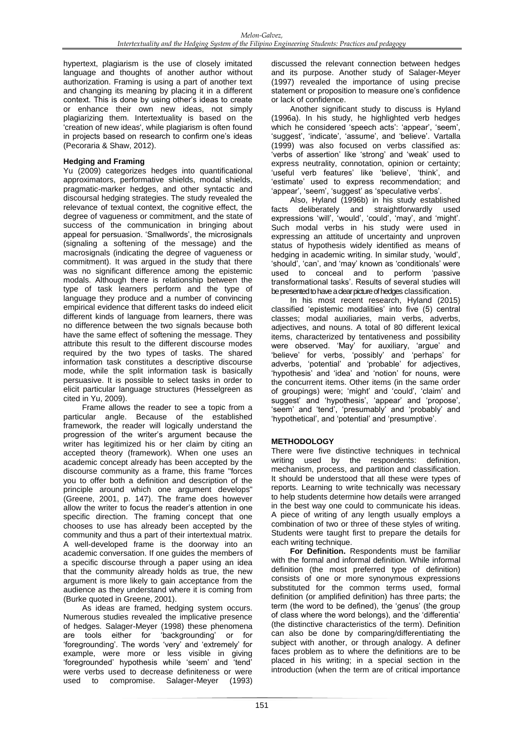hypertext, plagiarism is the use of closely imitated language and thoughts of another author without authorization. Framing is using a part of another text and changing its meaning by placing it in a different context. This is done by using other's ideas to create or enhance their own new ideas, not simply plagiarizing them. Intertextuality is based on the 'creation of new ideas', while plagiarism is often found in projects based on research to confirm one's ideas (Pecoraria & Shaw, 2012).

# **Hedging and Framing**

Yu (2009) categorizes hedges into quantificational approximators, performative shields, modal shields, pragmatic-marker hedges, and other syntactic and discoursal hedging strategies. The study revealed the relevance of textual context, the cognitive effect, the degree of vagueness or commitment, and the state of success of the communication in bringing about appeal for persuasion. "Smallwords", the microsignals (signaling a softening of the message) and the macrosignals (indicating the degree of vagueness or commitment). It was argued in the study that there was no significant difference among the epistemic modals. Although there is relationship between the type of task learners perform and the type of language they produce and a number of convincing empirical evidence that different tasks do indeed elicit different kinds of language from learners, there was no difference between the two signals because both have the same effect of softening the message. They attribute this result to the different discourse modes required by the two types of tasks. The shared information task constitutes a descriptive discourse mode, while the split information task is basically persuasive. It is possible to select tasks in order to elicit particular language structures (Hesselgreen as cited in Yu, 2009).

Frame allows the reader to see a topic from a particular angle. Because of the established framework, the reader will logically understand the progression of the writer's argument because the writer has legitimized his or her claim by citing an accepted theory (framework). When one uses an academic concept already has been accepted by the discourse community as a frame, this frame "forces you to offer both a definition and description of the principle around which one argument develops" (Greene, 2001, p. 147). The frame does however allow the writer to focus the reader"s attention in one specific direction. The framing concept that one chooses to use has already been accepted by the community and thus a part of their intertextual matrix. A well-developed frame is the doorway into an academic conversation. If one guides the members of a specific discourse through a paper using an idea that the community already holds as true, the new argument is more likely to gain acceptance from the audience as they understand where it is coming from (Burke quoted in Greene, 2001).

As ideas are framed, hedging system occurs. Numerous studies revealed the implicative presence of hedges. Salager-Meyer (1998) these phenomena are tools either for "backgrounding" or for "foregrounding". The words "very" and "extremely" for example, were more or less visible in giving "foregrounded" hypothesis while "seem" and "tend" were verbs used to decrease definiteness or were used to compromise. Salager-Meyer (1993)

discussed the relevant connection between hedges and its purpose. Another study of Salager-Meyer (1997) revealed the importance of using precise statement or proposition to measure one"s confidence or lack of confidence.

Another significant study to discuss is Hyland (1996a). In his study, he highlighted verb hedges which he considered 'speech acts': 'appear', 'seem', 'suggest', 'indicate', 'assume', and 'believe'. Vartalla (1999) was also focused on verbs classified as: 'verbs of assertion' like 'strong' and 'weak' used to express neutrality, connotation, opinion or certainty; 'useful verb features' like 'believe', 'think', and 'estimate' used to express recommendation; and 'appear', 'seem', 'suggest' as 'speculative verbs'.

Also, Hyland (1996b) in his study established facts deliberately and straightforwardly used expressions 'will', 'would', 'could', 'may', and 'might'. Such modal verbs in his study were used in expressing an attitude of uncertainty and unproven status of hypothesis widely identified as means of hedging in academic writing. In similar study, "would", 'should', 'can', and 'may' known as 'conditionals' were used to conceal and to perform "passive transformational tasks". Results of several studies will be presented to have a clear picture of hedges classification.

In his most recent research, Hyland (2015) classified "epistemic modalities" into five (5) central classes; modal auxiliaries, main verbs, adverbs, adjectives, and nouns. A total of 80 different lexical items, characterized by tentativeness and possibility were observed. "May" for auxiliary, "argue" and 'believe' for verbs, 'possibly' and 'perhaps' for adverbs, "potential" and "probable" for adjectives, "hypothesis" and "idea" and "notion" for nouns, were the concurrent items. Other items (in the same order of groupings) were; "might" and "could", "claim" and suggest' and 'hypothesis', 'appear' and 'propose', 'seem' and 'tend', 'presumably' and 'probably' and 'hypothetical', and 'potential' and 'presumptive'.

# **METHODOLOGY**

There were five distinctive techniques in technical writing used by the respondents: definition, mechanism, process, and partition and classification. It should be understood that all these were types of reports. Learning to write technically was necessary to help students determine how details were arranged in the best way one could to communicate his ideas. A piece of writing of any length usually employs a combination of two or three of these styles of writing. Students were taught first to prepare the details for each writing technique.

**For Definition.** Respondents must be familiar with the formal and informal definition. While informal definition (the most preferred type of definition) consists of one or more synonymous expressions substituted for the common terms used, formal definition (or amplified definition) has three parts; the term (the word to be defined), the 'genus' (the group of class where the word belongs), and the "differentia" (the distinctive characteristics of the term). Definition can also be done by comparing/differentiating the subject with another, or through analogy. A definer faces problem as to where the definitions are to be placed in his writing; in a special section in the introduction (when the term are of critical importance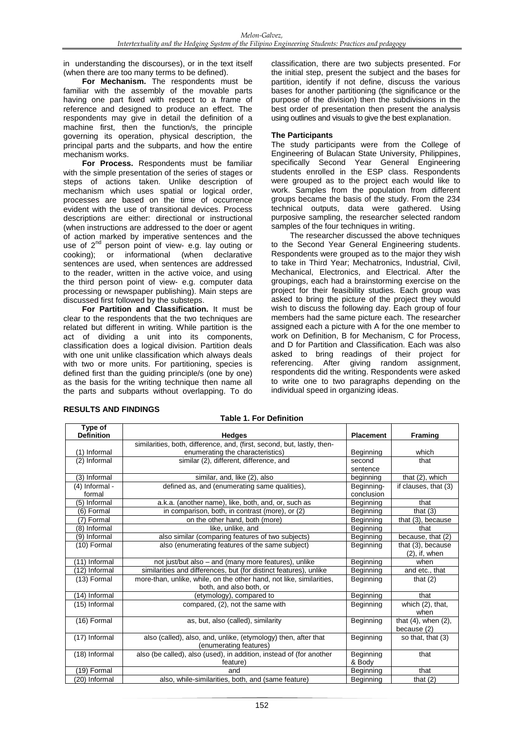in understanding the discourses), or in the text itself (when there are too many terms to be defined).

**For Mechanism.** The respondents must be familiar with the assembly of the movable parts having one part fixed with respect to a frame of reference and designed to produce an effect. The respondents may give in detail the definition of a machine first, then the function/s, the principle governing its operation, physical description, the principal parts and the subparts, and how the entire mechanism works.

**For Process.** Respondents must be familiar with the simple presentation of the series of stages or steps of actions taken. Unlike description of mechanism which uses spatial or logical order, processes are based on the time of occurrence evident with the use of transitional devices. Process descriptions are either: directional or instructional (when instructions are addressed to the doer or agent of action marked by imperative sentences and the use of 2<sup>nd</sup> person point of view- e.g. lay outing or cooking); or informational (when declarative sentences are used, when sentences are addressed to the reader, written in the active voice, and using the third person point of view- e.g. computer data processing or newspaper publishing). Main steps are discussed first followed by the substeps.

**For Partition and Classification.** It must be clear to the respondents that the two techniques are related but different in writing. While partition is the act of dividing a unit into its components, classification does a logical division. Partition deals with one unit unlike classification which always deals with two or more units. For partitioning, species is defined first than the guiding principle/s (one by one) as the basis for the writing technique then name all the parts and subparts without overlapping. To do

classification, there are two subjects presented. For the initial step, present the subject and the bases for partition, identify if not define, discuss the various bases for another partitioning (the significance or the purpose of the division) then the subdivisions in the best order of presentation then present the analysis using outlines and visuals to give the best explanation.

### **The Participants**

The study participants were from the College of Engineering of Bulacan State University, Philippines, specifically Second Year General Engineering students enrolled in the ESP class. Respondents were grouped as to the project each would like to work. Samples from the population from different groups became the basis of the study. From the 234 technical outputs, data were gathered. Using purposive sampling, the researcher selected random samples of the four techniques in writing.

The researcher discussed the above techniques to the Second Year General Engineering students. Respondents were grouped as to the major they wish to take in Third Year; Mechatronics, Industrial, Civil, Mechanical, Electronics, and Electrical. After the groupings, each had a brainstorming exercise on the project for their feasibility studies. Each group was asked to bring the picture of the project they would wish to discuss the following day. Each group of four members had the same picture each. The researcher assigned each a picture with A for the one member to work on Definition, B for Mechanism, C for Process, and D for Partition and Classification. Each was also asked to bring readings of their project for referencing. After giving random assignment, respondents did the writing. Respondents were asked to write one to two paragraphs depending on the individual speed in organizing ideas.

| Type of           |                                                                         |                  |                           |
|-------------------|-------------------------------------------------------------------------|------------------|---------------------------|
| <b>Definition</b> | <b>Hedges</b>                                                           | <b>Placement</b> | Framing                   |
|                   | similarities, both, difference, and, (first, second, but, lastly, then- |                  |                           |
| (1) Informal      | enumerating the characteristics)                                        | Beginning        | which                     |
| (2) Informal      | $\overline{\text{similar (2)}}$ , different, difference, and            | second           | that                      |
|                   |                                                                         | sentence         |                           |
| (3) Informal      | similar, and, like (2), also                                            | beginning        | that (2), which           |
| (4) Informal -    | defined as, and (enumerating same qualities),                           | Beginning-       | if clauses, that (3)      |
| formal            |                                                                         | conclusion       |                           |
| (5) Informal      | a.k.a. (another name), like, both, and, or, such as                     | Beginning        | that                      |
| (6) Formal        | in comparison, both, in contrast (more), or (2)                         | Beginning        | that $(3)$                |
| (7) Formal        | on the other hand, both (more)                                          | Beginning        | that $(3)$ , because      |
| (8) Informal      | like, unlike, and                                                       | Beginning        | that                      |
| (9) Informal      | also similar (comparing features of two subjects)                       | Beginning        | because, that (2)         |
| (10) Formal       | also (enumerating features of the same subject)                         | Beginning        | that (3), because         |
|                   |                                                                         |                  | $(2)$ , if, when          |
| (11) Informal     | not just/but also – and (many more features), unlike                    | Beginning        | when                      |
| (12) Informal     | similarities and differences, but (for distinct features), unlike       | Beginning        | and etc., that            |
| (13) Formal       | more-than, unlike, while, on the other hand, not like, similarities,    | Beginning        | that $(2)$                |
|                   | both, and also both, or                                                 |                  |                           |
| (14) Informal     | (etymology), compared to                                                | Beginning        | that                      |
| (15) Informal     | compared, (2), not the same with                                        | Beginning        | which (2), that,          |
|                   |                                                                         |                  | when                      |
| (16) Formal       | as, but, also (called), similarity                                      | Beginning        | that $(4)$ , when $(2)$ , |
|                   |                                                                         |                  | because (2)               |
| (17) Informal     | also (called), also, and, unlike, (etymology) then, after that          | Beginning        | so that, that (3)         |
|                   | (enumerating features)                                                  |                  |                           |
| (18) Informal     | also (be called), also (used), in addition, instead of (for another     | Beginning        | that                      |
|                   | feature)                                                                | & Body           |                           |
| (19) Formal       | and                                                                     | Beginning        | that                      |
| (20) Informal     | also, while-similarities, both, and (same feature)                      | Beginning        | that $(2)$                |

**Table 1. For Definition**

### **RESULTS AND FINDINGS**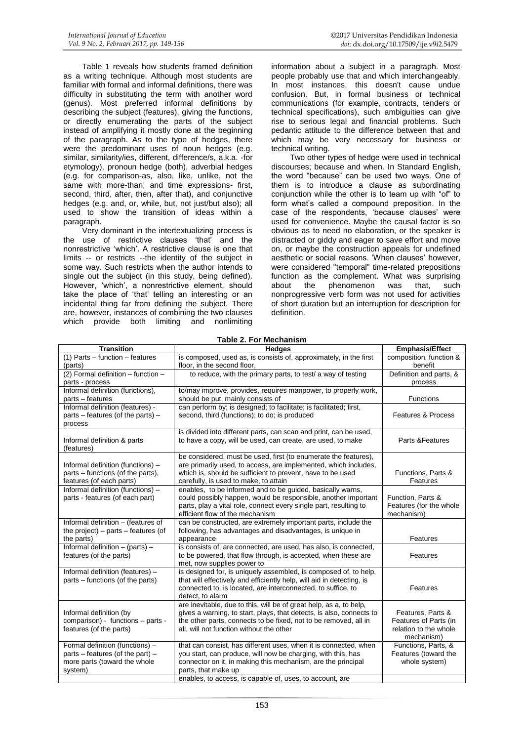Table 1 reveals how students framed definition as a writing technique. Although most students are familiar with formal and informal definitions, there was difficulty in substituting the term with another word (genus). Most preferred informal definitions by describing the subject (features), giving the functions, or directly enumerating the parts of the subject instead of amplifying it mostly done at the beginning of the paragraph. As to the type of hedges, there were the predominant uses of noun hedges (e.g. similar, similarity/ies, different, difference/s, a.k.a. -for etymology), pronoun hedge (both), adverbial hedges (e.g. for comparison-as, also, like, unlike, not the same with more-than; and time expressions- first, second, third, after, then, after that), and conjunctive hedges (e.g. and, or, while, but, not just/but also); all used to show the transition of ideas within a paragraph.

Very dominant in the intertextualizing process is the use of restrictive clauses "that" and the nonrestrictive "which". A restrictive clause is one that limits -- or restricts --the identity of the subject in some way. Such restricts when the author intends to single out the subject (in this study, being defined). However, "which", a nonrestrictive element, should take the place of "that" telling an interesting or an incidental thing far from defining the subject. There are, however, instances of combining the two clauses which provide both limiting and nonlimiting

information about a subject in a paragraph. Most people probably use that and which interchangeably. In most instances, this doesn't cause undue confusion. But, in formal business or technical communications (for example, contracts, tenders or technical specifications), such ambiguities can give rise to serious legal and financial problems. Such pedantic attitude to the difference between that and which may be very necessary for business or technical writing.

Two other types of hedge were used in technical discourses; because and when. In Standard English, the word "because" can be used two ways. One of them is to introduce a clause as subordinating conjunction while the other is to team up with "of" to form what"s called a compound preposition. In the case of the respondents, 'because clauses' were used for convenience. Maybe the causal factor is so obvious as to need no elaboration, or the speaker is distracted or giddy and eager to save effort and move on, or maybe the construction appeals for undefined aesthetic or social reasons. 'When clauses' however, were considered "temporal" time-related prepositions function as the complement. What was surprising about the phenomenon was that, such nonprogressive verb form was not used for activities of short duration but an interruption for description for definition.

| Table 2. For Mechanism                    |                                                                       |                                     |  |  |  |  |
|-------------------------------------------|-----------------------------------------------------------------------|-------------------------------------|--|--|--|--|
| <b>Transition</b>                         | <b>Hedges</b>                                                         | <b>Emphasis/Effect</b>              |  |  |  |  |
| $(1)$ Parts – function – features         | is composed, used as, is consists of, approximately, in the first     | composition, function &<br>benefit  |  |  |  |  |
| (parts)                                   | floor, in the second floor,                                           |                                     |  |  |  |  |
| (2) Formal definition - function -        | to reduce, with the primary parts, to test/ a way of testing          | Definition and parts, &             |  |  |  |  |
| parts - process                           |                                                                       | process                             |  |  |  |  |
| Informal definition (functions),          | to/may improve, provides, requires manpower, to properly work,        |                                     |  |  |  |  |
| parts - features                          | should be put, mainly consists of                                     | <b>Functions</b>                    |  |  |  |  |
| Informal definition (features) -          | can perform by; is designed; to facilitate; is facilitated; first,    |                                     |  |  |  |  |
| parts – features (of the parts) –         | second, third (functions); to do; is produced                         | <b>Features &amp; Process</b>       |  |  |  |  |
| process                                   |                                                                       |                                     |  |  |  |  |
|                                           | is divided into different parts, can scan and print, can be used,     | Parts & Features                    |  |  |  |  |
| Informal definition & parts<br>(features) | to have a copy, will be used, can create, are used, to make           |                                     |  |  |  |  |
|                                           | be considered, must be used, first (to enumerate the features),       |                                     |  |  |  |  |
| Informal definition (functions) -         | are primarily used, to access, are implemented, which includes,       |                                     |  |  |  |  |
| parts – functions (of the parts),         | which is, should be sufficient to prevent, have to be used            | Functions, Parts &                  |  |  |  |  |
| features (of each parts)                  | carefully, is used to make, to attain                                 | Features                            |  |  |  |  |
| Informal definition (functions) -         | enables, to be informed and to be quided, basically warns,            |                                     |  |  |  |  |
| parts - features (of each part)           | could possibly happen, would be responsible, another important        | Function, Parts &                   |  |  |  |  |
|                                           | parts, play a vital role, connect every single part, resulting to     | Features (for the whole             |  |  |  |  |
|                                           | efficient flow of the mechanism                                       | mechanism)                          |  |  |  |  |
| Informal definition - (features of        | can be constructed, are extremely important parts, include the        |                                     |  |  |  |  |
| the project) - parts - features (of       | following, has advantages and disadvantages, is unique in             |                                     |  |  |  |  |
| the parts)                                | appearance                                                            | Features                            |  |  |  |  |
| Informal definition $-$ (parts) $-$       | is consists of, are connected, are used, has also, is connected,      |                                     |  |  |  |  |
| features (of the parts)                   | to be powered, that flow through, is accepted, when these are         | Features                            |  |  |  |  |
|                                           | met, now supplies power to                                            |                                     |  |  |  |  |
| Informal definition (features) -          | is designed for, is uniquely assembled, is composed of, to help,      |                                     |  |  |  |  |
| parts - functions (of the parts)          | that will effectively and efficiently help, will aid in detecting, is |                                     |  |  |  |  |
|                                           | connected to, is located, are interconnected, to suffice, to          | Features                            |  |  |  |  |
|                                           | detect, to alarm                                                      |                                     |  |  |  |  |
|                                           | are inevitable, due to this, will be of great help, as a, to help,    |                                     |  |  |  |  |
| Informal definition (by                   | gives a warning, to start, plays, that detects, is also, connects to  | Features, Parts &                   |  |  |  |  |
| comparison) - functions - parts -         | the other parts, connects to be fixed, not to be removed, all in      | Features of Parts (in               |  |  |  |  |
| features (of the parts)                   | all, will not function without the other                              | relation to the whole<br>mechanism) |  |  |  |  |
| Formal definition (functions) -           | that can consist, has different uses, when it is connected, when      | Functions, Parts, &                 |  |  |  |  |
| parts – features (of the part) –          | you start, can produce, will now be charging, with this, has          | Features (toward the                |  |  |  |  |
| more parts (toward the whole              | connector on it, in making this mechanism, are the principal          | whole system)                       |  |  |  |  |
| system)                                   | parts, that make up                                                   |                                     |  |  |  |  |
|                                           | enables, to access, is capable of, uses, to account, are              |                                     |  |  |  |  |

#### **Table 2. For Mechanism**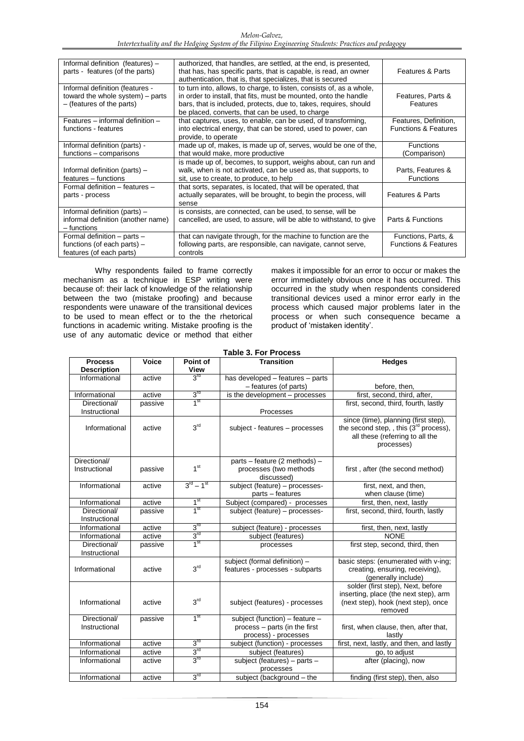| Informal definition (features) -<br>parts - features (of the parts)                              | authorized, that handles, are settled, at the end, is presented,<br>that has, has specific parts, that is capable, is read, an owner<br>authentication, that is, that specializes, that is secured                                                                | <b>Features &amp; Parts</b>                              |
|--------------------------------------------------------------------------------------------------|-------------------------------------------------------------------------------------------------------------------------------------------------------------------------------------------------------------------------------------------------------------------|----------------------------------------------------------|
| Informal definition (features -<br>toward the whole system) – parts<br>- (features of the parts) | to turn into, allows, to charge, to listen, consists of, as a whole,<br>in order to install, that fits, must be mounted, onto the handle<br>bars, that is included, protects, due to, takes, requires, should<br>be placed, converts, that can be used, to charge | Features, Parts &<br>Features                            |
| Features - informal definition -<br>functions - features                                         | that captures, uses, to enable, can be used, of transforming,<br>into electrical energy, that can be stored, used to power, can<br>provide, to operate                                                                                                            | Features, Definition,<br><b>Functions &amp; Features</b> |
| Informal definition (parts) -<br>functions – comparisons                                         | made up of, makes, is made up of, serves, would be one of the,<br>that would make, more productive                                                                                                                                                                | <b>Functions</b><br>(Comparison)                         |
| Informal definition (parts) –<br>features - functions                                            | is made up of, becomes, to support, weighs about, can run and<br>walk, when is not activated, can be used as, that supports, to<br>sit, use to create, to produce, to help                                                                                        | Parts, Features &<br><b>Functions</b>                    |
| Formal definition - features -<br>parts - process                                                | that sorts, separates, is located, that will be operated, that<br>actually separates, will be brought, to begin the process, will<br>sense                                                                                                                        | <b>Features &amp; Parts</b>                              |
| Informal definition (parts) -<br>informal definition (another name)<br>– functions               | is consists, are connected, can be used, to sense, will be<br>cancelled, are used, to assure, will be able to withstand, to give                                                                                                                                  | Parts & Functions                                        |
| Formal definition - parts -<br>functions (of each parts) -<br>features (of each parts)           | that can navigate through, for the machine to function are the<br>following parts, are responsible, can navigate, cannot serve,<br>controls                                                                                                                       | Functions, Parts, &<br><b>Functions &amp; Features</b>   |

Why respondents failed to frame correctly mechanism as a technique in ESP writing were because of: their lack of knowledge of the relationship between the two (mistake proofing) and because respondents were unaware of the transitional devices to be used to mean effect or to the the rhetorical functions in academic writing. Mistake proofing is the use of any automatic device or method that either

makes it impossible for an error to occur or makes the error immediately obvious once it has occurred. This occurred in the study when respondents considered transitional devices used a minor error early in the process which caused major problems later in the process or when such consequence became a product of "mistaken identity".

**Table 3. For Process**

| <b>Process</b><br><b>Description</b> | Voice   | Point of<br><b>View</b> | Transition                                                                              | <b>Hedges</b>                                                                                                                               |  |
|--------------------------------------|---------|-------------------------|-----------------------------------------------------------------------------------------|---------------------------------------------------------------------------------------------------------------------------------------------|--|
| Informational                        | active  | 3 <sup>rd</sup>         | has developed - features - parts                                                        |                                                                                                                                             |  |
|                                      |         |                         | - features (of parts)                                                                   | before, then,                                                                                                                               |  |
| Informational                        | active  | 3 <sup>rd</sup>         | is the development - processes                                                          | first, second, third, after,                                                                                                                |  |
| Directional/<br>Instructional        | passive | 1 <sup>st</sup>         | Processes                                                                               | first, second, third, fourth, lastly                                                                                                        |  |
| Informational                        | active  | 3 <sup>rd</sup>         | subject - features - processes                                                          | since (time), planning (first step),<br>the second step, , this (3 <sup>rd</sup> process),<br>all these (referring to all the<br>processes) |  |
| Directional/<br>Instructional        | passive | 1 <sup>st</sup>         | parts - feature (2 methods) -<br>processes (two methods<br>discussed)                   | first, after (the second method)                                                                                                            |  |
| Informational                        | active  | $3^{rd} - 1^{st}$       | subject (feature) - processes-<br>parts – features                                      | first, next, and then,<br>when clause (time)                                                                                                |  |
| Informational                        | active  | 1 <sup>st</sup>         | Subject (compared) - processes                                                          | first, then, next, lastly                                                                                                                   |  |
| Directional/<br>Instructional        | passive | 1 <sup>st</sup>         | subject (feature) - processes-                                                          | first, second, third, fourth, lastly                                                                                                        |  |
| Informational                        | active  | 3 <sup>rd</sup>         | subject (feature) - processes                                                           | first, then, next, lastly                                                                                                                   |  |
| Informational                        | active  | 3 <sup>rd</sup>         | subject (features)                                                                      | <b>NONE</b>                                                                                                                                 |  |
| Directional/<br>Instructional        | passive | 1 <sup>st</sup>         | processes                                                                               | first step, second, third, then                                                                                                             |  |
| Informational                        | active  | 3 <sup>rd</sup>         | subject (formal definition) -<br>features - processes - subparts                        | basic steps: (enumerated with v-ing;<br>creating, ensuring, receiving),<br>(generally include)                                              |  |
| Informational                        | active  | 3 <sup>rd</sup>         | subject (features) - processes                                                          | solder (first step), Next, before<br>inserting, place (the next step), arm<br>(next step), hook (next step), once<br>removed                |  |
| Directional/<br>Instructional        | passive | 1 <sup>st</sup>         | subject (function) - feature -<br>process - parts (in the first<br>process) - processes | first, when clause, then, after that,<br>lastly                                                                                             |  |
| Informational                        | active  | 3 <sup>rd</sup>         | subject (function) - processes                                                          | first, next, lastly, and then, and lastly                                                                                                   |  |
| Informational                        | active  | 3 <sup>rd</sup>         | subject (features)                                                                      | go, to adjust                                                                                                                               |  |
| Informational                        | active  | 3 <sup>rd</sup>         | subject (features) - parts -<br>processes                                               | after (placing), now                                                                                                                        |  |
| Informational                        | active  | 3 <sup>rd</sup>         | subject (background - the                                                               | finding (first step), then, also                                                                                                            |  |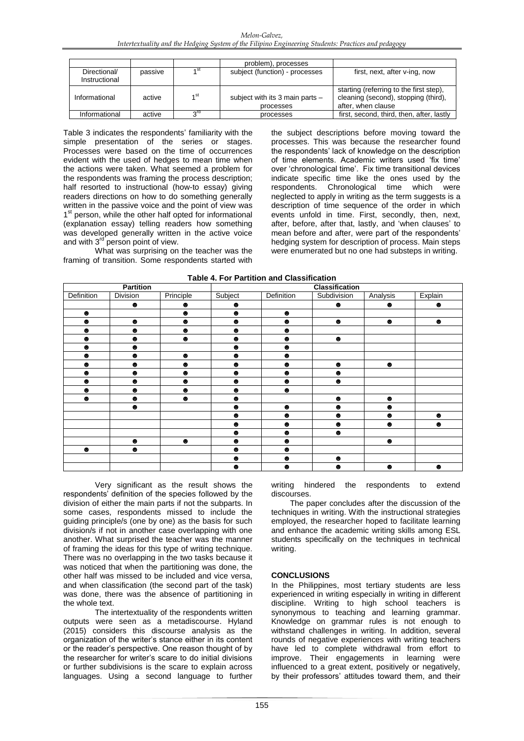|                               |         |                 | problem), processes                          |                                                                                                       |
|-------------------------------|---------|-----------------|----------------------------------------------|-------------------------------------------------------------------------------------------------------|
| Directional/<br>Instructional | passive |                 | subject (function) - processes               | first, next, after v-ing, now                                                                         |
| Informational                 | active  | 1 <sup>st</sup> | subject with its 3 main parts -<br>processes | starting (referring to the first step),<br>cleaning (second), stopping (third),<br>after, when clause |
| Informational                 | active  | 2 <sub>Ld</sub> | processes                                    | first, second, third, then, after, lastly                                                             |

Table 3 indicates the respondents' familiarity with the simple presentation of the series or stages. Processes were based on the time of occurrences evident with the used of hedges to mean time when the actions were taken. What seemed a problem for the respondents was framing the process description; half resorted to instructional (how-to essay) giving readers directions on how to do something generally written in the passive voice and the point of view was 1<sup>st</sup> person, while the other half opted for informational (explanation essay) telling readers how something was developed generally written in the active voice and with 3<sup>rd</sup> person point of view.

What was surprising on the teacher was the framing of transition. Some respondents started with the subject descriptions before moving toward the processes. This was because the researcher found the respondents" lack of knowledge on the description of time elements. Academic writers used "fix time" over 'chronological time'. Fix time transitional devices indicate specific time like the ones used by the respondents. Chronological time which were neglected to apply in writing as the term suggests is a description of time sequence of the order in which events unfold in time. First, secondly, then, next, after, before, after that, lastly, and 'when clauses' to mean before and after, were part of the respondents" hedging system for description of process. Main steps were enumerated but no one had substeps in writing.

| Table 4. For Partition and Classification |           |           |           |                       |             |           |           |  |
|-------------------------------------------|-----------|-----------|-----------|-----------------------|-------------|-----------|-----------|--|
| <b>Partition</b>                          |           |           |           | <b>Classification</b> |             |           |           |  |
| Definition                                | Division  | Principle | Subject   | Definition            | Subdivision | Analysis  | Explain   |  |
|                                           | $\bullet$ | $\bullet$ | $\bullet$ |                       | $\bullet$   | $\bullet$ | $\bullet$ |  |
| $\bullet$                                 |           | $\bullet$ | ⊕         | $\bullet$             |             |           |           |  |
| $\bullet$                                 | $\bullet$ | $\bullet$ | $\bullet$ | $\bullet$             | $\bullet$   | $\bullet$ | $\bullet$ |  |
| $\bullet$                                 | $\bullet$ | $\bullet$ | $\bullet$ | $\bullet$             |             |           |           |  |
| $\bullet$                                 | $\bullet$ | $\bullet$ | ⊕         | $\bullet$             | $\bullet$   |           |           |  |
| $\bullet$                                 | ●         |           | ●         | $\bullet$             |             |           |           |  |
| $\bullet$                                 | $\bullet$ | $\bullet$ | $\bullet$ | $\bullet$             |             |           |           |  |
| $\bullet$                                 | $\bullet$ | $\bullet$ | ●         | $\bullet$             | $\bullet$   | $\bullet$ |           |  |
| $\bullet$                                 | $\bullet$ | $\bullet$ | ●         | $\bullet$             | $\bullet$   |           |           |  |
| $\bullet$                                 | ●         | $\bullet$ | ●         | $\bullet$             | $\bullet$   |           |           |  |
| $\bullet$                                 | $\bullet$ | $\bullet$ | $\bullet$ | $\bullet$             |             |           |           |  |
| $\bullet$                                 | $\bullet$ | $\bullet$ | ●         |                       | $\bullet$   | $\bullet$ |           |  |
|                                           | $\bullet$ |           | ●         | $\bullet$             | $\bullet$   | $\bullet$ |           |  |
|                                           |           |           | $\bullet$ | $\bullet$             | $\bullet$   | $\bullet$ | $\bullet$ |  |
|                                           |           |           | $\bullet$ | $\bullet$             | $\bullet$   | $\bullet$ | $\bullet$ |  |
|                                           |           |           | ●         | $\bullet$             | $\bullet$   |           |           |  |
|                                           | $\bullet$ | $\bullet$ | $\bullet$ | $\bullet$             |             | $\bullet$ |           |  |
| $\bullet$                                 | $\bullet$ |           | $\bullet$ | $\bullet$             |             |           |           |  |
|                                           |           |           | ●         | $\bullet$             | $\bullet$   |           |           |  |
|                                           |           |           | ●         | $\bullet$             | $\bullet$   | $\bullet$ | $\bullet$ |  |

Very significant as the result shows the respondents" definition of the species followed by the division of either the main parts if not the subparts. In some cases, respondents missed to include the guiding principle/s (one by one) as the basis for such division/s if not in another case overlapping with one another. What surprised the teacher was the manner of framing the ideas for this type of writing technique. There was no overlapping in the two tasks because it was noticed that when the partitioning was done, the other half was missed to be included and vice versa, and when classification (the second part of the task) was done, there was the absence of partitioning in the whole text.

The intertextuality of the respondents written outputs were seen as a metadiscourse. Hyland (2015) considers this discourse analysis as the organization of the writer"s stance either in its content or the reader"s perspective. One reason thought of by the researcher for writer"s scare to do initial divisions or further subdivisions is the scare to explain across languages. Using a second language to further writing hindered the respondents to extend discourses.

The paper concludes after the discussion of the techniques in writing. With the instructional strategies employed, the researcher hoped to facilitate learning and enhance the academic writing skills among ESL students specifically on the techniques in technical writing.

# **CONCLUSIONS**

In the Philippines, most tertiary students are less experienced in writing especially in writing in different discipline. Writing to high school teachers is synonymous to teaching and learning grammar. Knowledge on grammar rules is not enough to withstand challenges in writing. In addition, several rounds of negative experiences with writing teachers have led to complete withdrawal from effort to improve. Their engagements in learning were influenced to a great extent, positively or negatively, by their professors' attitudes toward them, and their